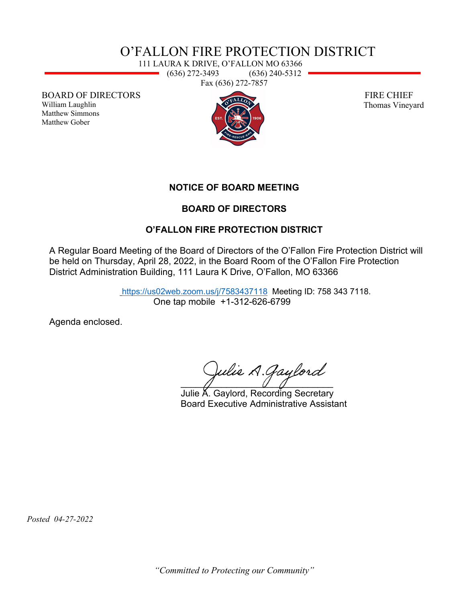## O'FALLON FIRE PROTECTION DISTRICT

111 LAURA K DRIVE, O'FALLON MO 63366 (636) 272-3493 (636) 240-5312 Fax (636) 272-7857

BOARD OF DIRECTORS

William Laughlin Matthew Simmons Matthew Gober



 FIRE CHIEF Thomas Vineyard

**NOTICE OF BOARD MEETING** 

#### **BOARD OF DIRECTORS**

### **O'FALLON FIRE PROTECTION DISTRICT**

A Regular Board Meeting of the Board of Directors of the O'Fallon Fire Protection District will be held on Thursday, April 28, 2022, in the Board Room of the O'Fallon Fire Protection District Administration Building, 111 Laura K Drive, O'Fallon, MO 63366

> <https://us02web.zoom.us/j/7583437118>Meeting ID: 758 343 7118. One tap mobile +1-312-626-6799

Agenda enclosed.

Julie A. Gaylord  $\overline{a}$  and  $\overline{a}$  and  $\overline{a}$  and  $\overline{a}$  and  $\overline{a}$  and  $\overline{a}$  and  $\overline{a}$  and  $\overline{a}$  and  $\overline{a}$  and  $\overline{a}$  and  $\overline{a}$  and  $\overline{a}$  and  $\overline{a}$  and  $\overline{a}$  and  $\overline{a}$  and  $\overline{a}$  and  $\overline{a}$  and

 Julie A. Gaylord, Recording Secretary Board Executive Administrative Assistant

 *Posted 04-27-2022*